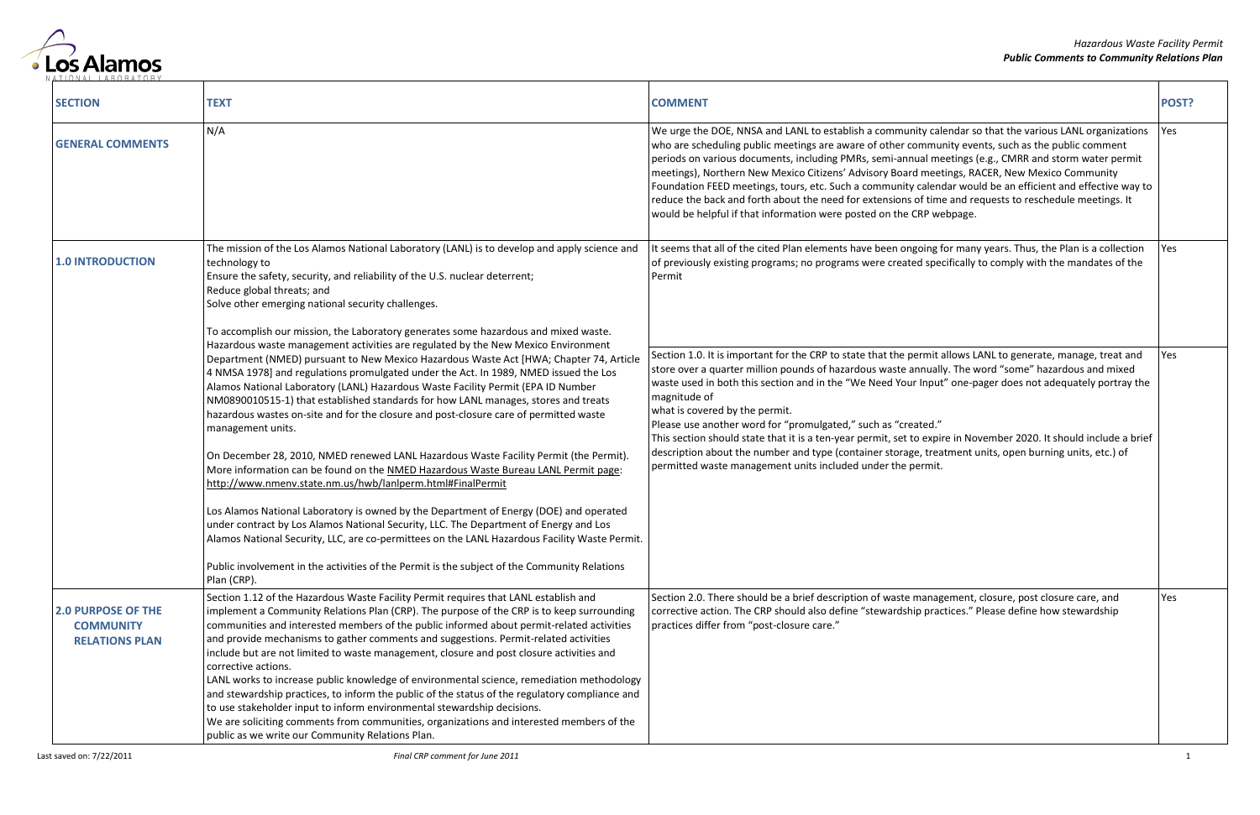

| <b>SECTION</b>                                                         | <b>TEXT</b>                                                                                                                                                                                                                                                                                                                                                                                                                                                                                                                                                                                                                                                                                                                                                                                                                                                                                                         | <b>COMMENT</b>                                                                                                                                                                                                                                                                                                                                                                                                                                                                                                                                                                                                                                                                                                                                      | POST? |
|------------------------------------------------------------------------|---------------------------------------------------------------------------------------------------------------------------------------------------------------------------------------------------------------------------------------------------------------------------------------------------------------------------------------------------------------------------------------------------------------------------------------------------------------------------------------------------------------------------------------------------------------------------------------------------------------------------------------------------------------------------------------------------------------------------------------------------------------------------------------------------------------------------------------------------------------------------------------------------------------------|-----------------------------------------------------------------------------------------------------------------------------------------------------------------------------------------------------------------------------------------------------------------------------------------------------------------------------------------------------------------------------------------------------------------------------------------------------------------------------------------------------------------------------------------------------------------------------------------------------------------------------------------------------------------------------------------------------------------------------------------------------|-------|
| <b>GENERAL COMMENTS</b>                                                | N/A                                                                                                                                                                                                                                                                                                                                                                                                                                                                                                                                                                                                                                                                                                                                                                                                                                                                                                                 | We urge the DOE, NNSA and LANL to establish a community calendar so that the various LANL organizations<br>who are scheduling public meetings are aware of other community events, such as the public comment<br>periods on various documents, including PMRs, semi-annual meetings (e.g., CMRR and storm water permit<br>meetings), Northern New Mexico Citizens' Advisory Board meetings, RACER, New Mexico Community<br>Foundation FEED meetings, tours, etc. Such a community calendar would be an efficient and effective way to<br>reduce the back and forth about the need for extensions of time and requests to reschedule meetings. It<br>would be helpful if that information were posted on the CRP webpage.                            | Yes   |
| <b>1.0 INTRODUCTION</b>                                                | The mission of the Los Alamos National Laboratory (LANL) is to develop and apply science and<br>technology to<br>Ensure the safety, security, and reliability of the U.S. nuclear deterrent;<br>Reduce global threats; and<br>Solve other emerging national security challenges.<br>To accomplish our mission, the Laboratory generates some hazardous and mixed waste.                                                                                                                                                                                                                                                                                                                                                                                                                                                                                                                                             | It seems that all of the cited Plan elements have been ongoing for many years. Thus, the Plan is a collection<br>of previously existing programs; no programs were created specifically to comply with the mandates of the<br>Permit                                                                                                                                                                                                                                                                                                                                                                                                                                                                                                                | Yes   |
|                                                                        | Hazardous waste management activities are regulated by the New Mexico Environment<br>Department (NMED) pursuant to New Mexico Hazardous Waste Act [HWA; Chapter 74, Article<br>4 NMSA 1978] and regulations promulgated under the Act. In 1989, NMED issued the Los<br>Alamos National Laboratory (LANL) Hazardous Waste Facility Permit (EPA ID Number<br>NM0890010515-1) that established standards for how LANL manages, stores and treats<br>hazardous wastes on-site and for the closure and post-closure care of permitted waste<br>management units.<br>On December 28, 2010, NMED renewed LANL Hazardous Waste Facility Permit (the Permit).<br>More information can be found on the NMED Hazardous Waste Bureau LANL Permit page:<br>http://www.nmenv.state.nm.us/hwb/lanlperm.html#FinalPermit                                                                                                            | Section 1.0. It is important for the CRP to state that the permit allows LANL to generate, manage, treat and<br>store over a quarter million pounds of hazardous waste annually. The word "some" hazardous and mixed<br>waste used in both this section and in the "We Need Your Input" one-pager does not adequately portray the<br>magnitude of<br>what is covered by the permit.<br>Please use another word for "promulgated," such as "created."<br>This section should state that it is a ten-year permit, set to expire in November 2020. It should include a brief<br>description about the number and type (container storage, treatment units, open burning units, etc.) of<br>permitted waste management units included under the permit. | Yes   |
|                                                                        | Los Alamos National Laboratory is owned by the Department of Energy (DOE) and operated<br>under contract by Los Alamos National Security, LLC. The Department of Energy and Los<br>Alamos National Security, LLC, are co-permittees on the LANL Hazardous Facility Waste Permit.<br>Public involvement in the activities of the Permit is the subject of the Community Relations<br>Plan (CRP).                                                                                                                                                                                                                                                                                                                                                                                                                                                                                                                     |                                                                                                                                                                                                                                                                                                                                                                                                                                                                                                                                                                                                                                                                                                                                                     |       |
| <b>2.0 PURPOSE OF THE</b><br><b>COMMUNITY</b><br><b>RELATIONS PLAN</b> | Section 1.12 of the Hazardous Waste Facility Permit requires that LANL establish and<br>implement a Community Relations Plan (CRP). The purpose of the CRP is to keep surrounding<br>communities and interested members of the public informed about permit-related activities<br>and provide mechanisms to gather comments and suggestions. Permit-related activities<br>include but are not limited to waste management, closure and post closure activities and<br>corrective actions.<br>LANL works to increase public knowledge of environmental science, remediation methodology<br>and stewardship practices, to inform the public of the status of the regulatory compliance and<br>to use stakeholder input to inform environmental stewardship decisions.<br>We are soliciting comments from communities, organizations and interested members of the<br>public as we write our Community Relations Plan. | Section 2.0. There should be a brief description of waste management, closure, post closure care, and<br>corrective action. The CRP should also define "stewardship practices." Please define how stewardship<br>practices differ from "post-closure care."                                                                                                                                                                                                                                                                                                                                                                                                                                                                                         | Yes   |

|                                                                                                                                                                                                                                                                                                       | POST? |
|-------------------------------------------------------------------------------------------------------------------------------------------------------------------------------------------------------------------------------------------------------------------------------------------------------|-------|
| calendar so that the various LANL organizations<br>munity events, such as the public comment<br>meetings (e.g., CMRR and storm water permit<br>neetings, RACER, New Mexico Community<br>lendar would be an efficient and effective way to<br>time and requests to reschedule meetings. It<br>webpage. | Yes   |
| ng for many years. Thus, the Plan is a collection<br>specifically to comply with the mandates of the                                                                                                                                                                                                  | Yes   |
| nit allows LANL to generate, manage, treat and<br>ually. The word "some" hazardous and mixed<br>put" one-pager does not adequately portray the                                                                                                                                                        | Yes   |
| d."<br>xpire in November 2020. It should include a brief<br>treatment units, open burning units, etc.) of<br>nit.                                                                                                                                                                                     |       |
| nagement, closure, post closure care, and<br>practices." Please define how stewardship                                                                                                                                                                                                                | Yes   |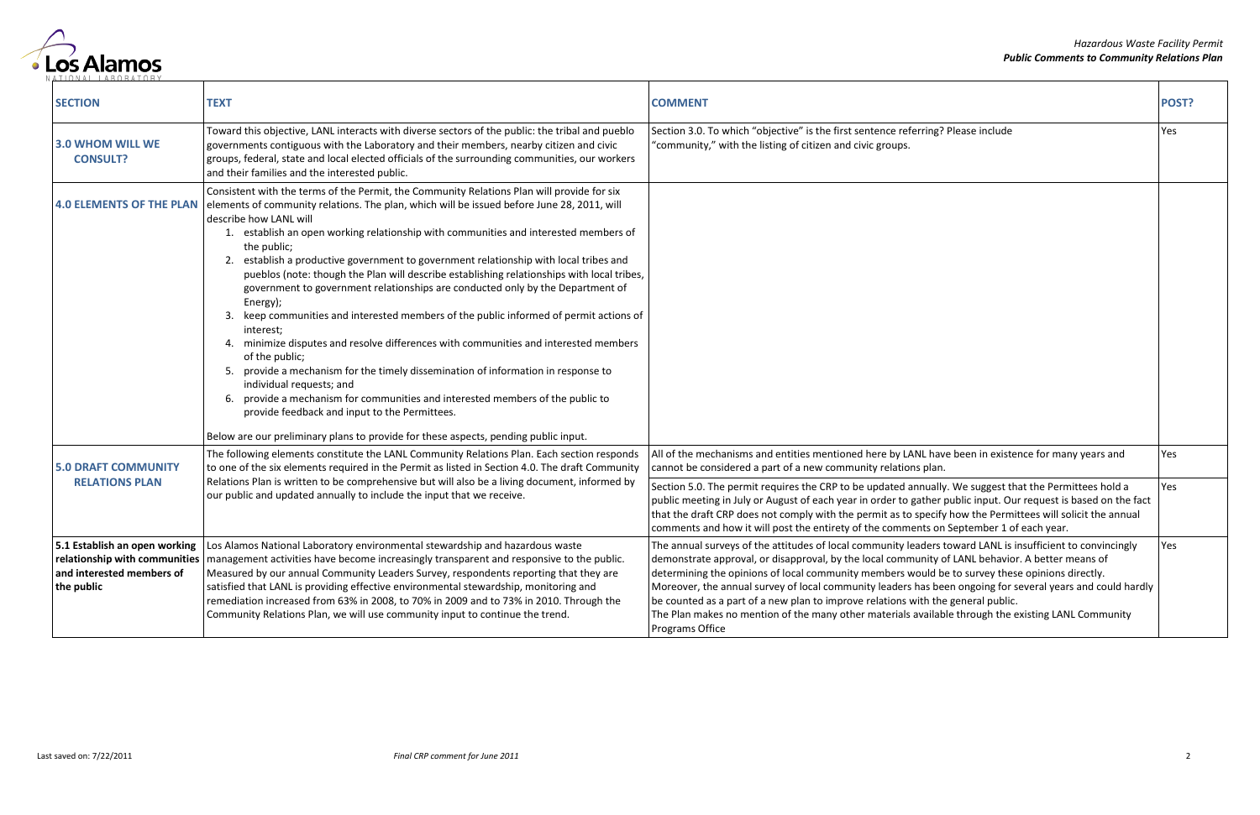

| <b>SECTION</b>                                                                                            | <b>TEXT</b>                                                                                                                                                                                                                                                                                                                                                                                                                                                                                                                                                                                                                                                                                                                                                                                                                                                                                                                                                                                                                                                                                                                                                          | <b>COMMENT</b>                                                                                                                                                                                                                                                                                                                                                                                                                                                                                                                                                                                                                                | POST?      |
|-----------------------------------------------------------------------------------------------------------|----------------------------------------------------------------------------------------------------------------------------------------------------------------------------------------------------------------------------------------------------------------------------------------------------------------------------------------------------------------------------------------------------------------------------------------------------------------------------------------------------------------------------------------------------------------------------------------------------------------------------------------------------------------------------------------------------------------------------------------------------------------------------------------------------------------------------------------------------------------------------------------------------------------------------------------------------------------------------------------------------------------------------------------------------------------------------------------------------------------------------------------------------------------------|-----------------------------------------------------------------------------------------------------------------------------------------------------------------------------------------------------------------------------------------------------------------------------------------------------------------------------------------------------------------------------------------------------------------------------------------------------------------------------------------------------------------------------------------------------------------------------------------------------------------------------------------------|------------|
| <b>3.0 WHOM WILL WE</b><br><b>CONSULT?</b>                                                                | Toward this objective, LANL interacts with diverse sectors of the public: the tribal and pueblo<br>governments contiguous with the Laboratory and their members, nearby citizen and civic<br>groups, federal, state and local elected officials of the surrounding communities, our workers<br>and their families and the interested public.                                                                                                                                                                                                                                                                                                                                                                                                                                                                                                                                                                                                                                                                                                                                                                                                                         | Section 3.0. To which "objective" is the first sentence referring? Please include<br>"community," with the listing of citizen and civic groups.                                                                                                                                                                                                                                                                                                                                                                                                                                                                                               | Yes        |
| <b>4.0 ELEMENTS OF THE PLAN</b>                                                                           | Consistent with the terms of the Permit, the Community Relations Plan will provide for six<br>elements of community relations. The plan, which will be issued before June 28, 2011, will<br>describe how LANL will<br>1. establish an open working relationship with communities and interested members of<br>the public;<br>2. establish a productive government to government relationship with local tribes and<br>pueblos (note: though the Plan will describe establishing relationships with local tribes,<br>government to government relationships are conducted only by the Department of<br>Energy);<br>keep communities and interested members of the public informed of permit actions of<br>interest;<br>4. minimize disputes and resolve differences with communities and interested members<br>of the public;<br>provide a mechanism for the timely dissemination of information in response to<br>individual requests; and<br>6. provide a mechanism for communities and interested members of the public to<br>provide feedback and input to the Permittees.<br>Below are our preliminary plans to provide for these aspects, pending public input. |                                                                                                                                                                                                                                                                                                                                                                                                                                                                                                                                                                                                                                               |            |
| <b>5.0 DRAFT COMMUNITY</b>                                                                                | The following elements constitute the LANL Community Relations Plan. Each section responds<br>to one of the six elements required in the Permit as listed in Section 4.0. The draft Community                                                                                                                                                                                                                                                                                                                                                                                                                                                                                                                                                                                                                                                                                                                                                                                                                                                                                                                                                                        | All of the mechanisms and entities mentioned here by LANL have been in existence for many years and<br>cannot be considered a part of a new community relations plan.                                                                                                                                                                                                                                                                                                                                                                                                                                                                         | Yes        |
| <b>RELATIONS PLAN</b>                                                                                     | Relations Plan is written to be comprehensive but will also be a living document, informed by<br>our public and updated annually to include the input that we receive.                                                                                                                                                                                                                                                                                                                                                                                                                                                                                                                                                                                                                                                                                                                                                                                                                                                                                                                                                                                               | Section 5.0. The permit requires the CRP to be updated annually. We suggest that the Permittees hold a<br>public meeting in July or August of each year in order to gather public input. Our request is based on the fact<br>that the draft CRP does not comply with the permit as to specify how the Permittees will solicit the annual<br>comments and how it will post the entirety of the comments on September 1 of each year.                                                                                                                                                                                                           | Yes        |
| 5.1 Establish an open working<br>relationship with communities<br>and interested members of<br>the public | Los Alamos National Laboratory environmental stewardship and hazardous waste<br>  management activities have become increasingly transparent and responsive to the public.<br>Measured by our annual Community Leaders Survey, respondents reporting that they are<br>satisfied that LANL is providing effective environmental stewardship, monitoring and<br>remediation increased from 63% in 2008, to 70% in 2009 and to 73% in 2010. Through the<br>Community Relations Plan, we will use community input to continue the trend.                                                                                                                                                                                                                                                                                                                                                                                                                                                                                                                                                                                                                                 | The annual surveys of the attitudes of local community leaders toward LANL is insufficient to convincingly<br>demonstrate approval, or disapproval, by the local community of LANL behavior. A better means of<br>determining the opinions of local community members would be to survey these opinions directly.<br>Moreover, the annual survey of local community leaders has been ongoing for several years and could hardly<br>be counted as a part of a new plan to improve relations with the general public.<br>The Plan makes no mention of the many other materials available through the existing LANL Community<br>Programs Office | <b>res</b> |

|                                                                                                                                                                                                                                                                   | POST? |
|-------------------------------------------------------------------------------------------------------------------------------------------------------------------------------------------------------------------------------------------------------------------|-------|
| ing? Please include                                                                                                                                                                                                                                               | Yes   |
|                                                                                                                                                                                                                                                                   |       |
| have been in existence for many years and<br>ılan.                                                                                                                                                                                                                | Yes   |
| ually. We suggest that the Permittees hold a<br>her public input. Our request is based on the fact<br>ecify how the Permittees will solicit the annual<br>s on September 1 of each year.                                                                          | Yes   |
| ers toward LANL is insufficient to convincingly<br>ity of LANL behavior. A better means of<br>Id be to survey these opinions directly.<br>s been ongoing for several years and could hardly<br>the general public.<br>illable through the existing LANL Community | Yes   |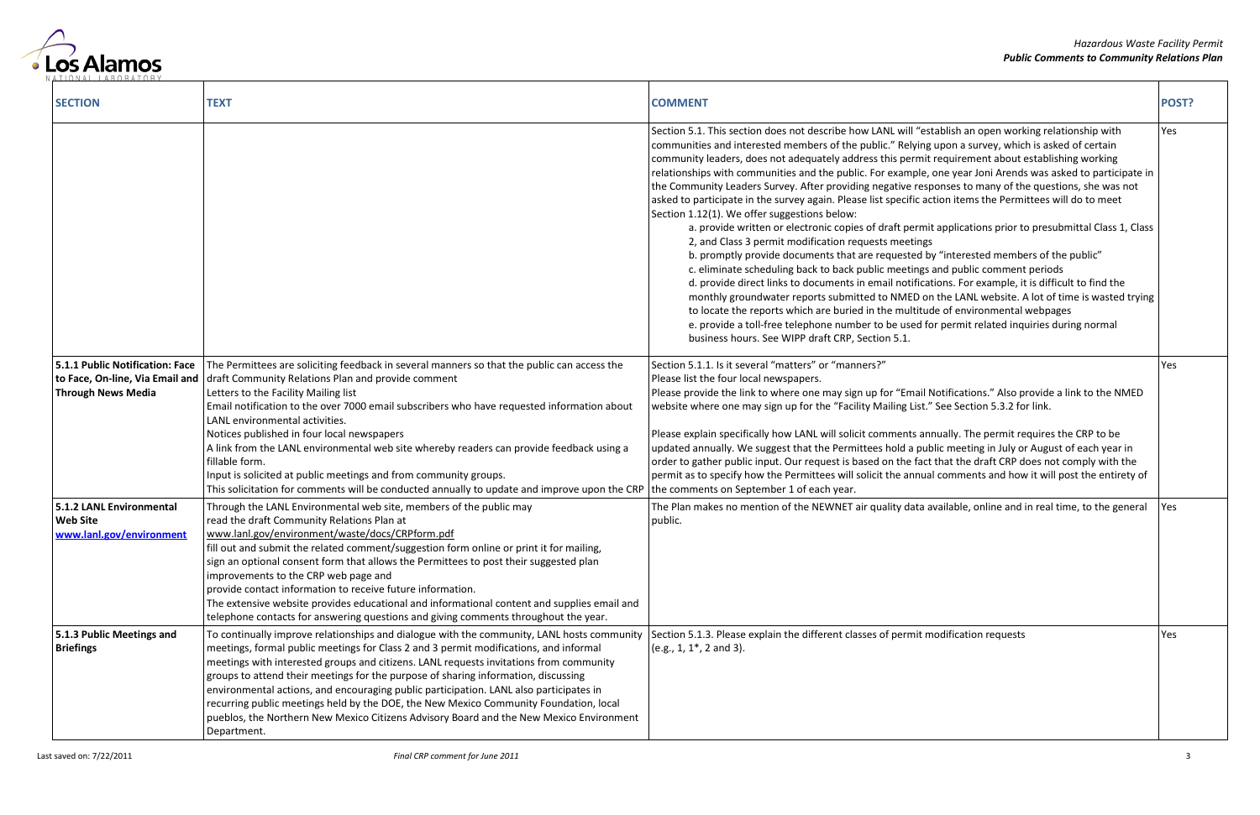

| <b>SECTION</b>                                                          | <b>TEXT</b>                                                                                                                                                                                                                                                                                                                                                                                                                                                                                                                                                                                                                                                                                                                               | <b>COMMENT</b>                                                                                                                                                                                                                                                                                                                                                                                                                                                                                                                                                                                                                                                                                                                                                                                                                                                                                                                                                                                                                                                                                                                                                                                                                                                                                                                                                                                                                                                                                                       | POST? |
|-------------------------------------------------------------------------|-------------------------------------------------------------------------------------------------------------------------------------------------------------------------------------------------------------------------------------------------------------------------------------------------------------------------------------------------------------------------------------------------------------------------------------------------------------------------------------------------------------------------------------------------------------------------------------------------------------------------------------------------------------------------------------------------------------------------------------------|----------------------------------------------------------------------------------------------------------------------------------------------------------------------------------------------------------------------------------------------------------------------------------------------------------------------------------------------------------------------------------------------------------------------------------------------------------------------------------------------------------------------------------------------------------------------------------------------------------------------------------------------------------------------------------------------------------------------------------------------------------------------------------------------------------------------------------------------------------------------------------------------------------------------------------------------------------------------------------------------------------------------------------------------------------------------------------------------------------------------------------------------------------------------------------------------------------------------------------------------------------------------------------------------------------------------------------------------------------------------------------------------------------------------------------------------------------------------------------------------------------------------|-------|
|                                                                         |                                                                                                                                                                                                                                                                                                                                                                                                                                                                                                                                                                                                                                                                                                                                           | Section 5.1. This section does not describe how LANL will "establish an open working relationship with<br>communities and interested members of the public." Relying upon a survey, which is asked of certain<br>community leaders, does not adequately address this permit requirement about establishing working<br>relationships with communities and the public. For example, one year Joni Arends was asked to participate in<br>the Community Leaders Survey. After providing negative responses to many of the questions, she was not<br>asked to participate in the survey again. Please list specific action items the Permittees will do to meet<br>Section 1.12(1). We offer suggestions below:<br>a. provide written or electronic copies of draft permit applications prior to presubmittal Class 1, Class<br>2, and Class 3 permit modification requests meetings<br>b. promptly provide documents that are requested by "interested members of the public"<br>c. eliminate scheduling back to back public meetings and public comment periods<br>d. provide direct links to documents in email notifications. For example, it is difficult to find the<br>monthly groundwater reports submitted to NMED on the LANL website. A lot of time is wasted trying<br>to locate the reports which are buried in the multitude of environmental webpages<br>e. provide a toll-free telephone number to be used for permit related inquiries during normal<br>business hours. See WIPP draft CRP, Section 5.1. | Yes   |
| 5.1.1 Public Notification: Face<br><b>Through News Media</b>            | The Permittees are soliciting feedback in several manners so that the public can access the<br>to Face, On-line, Via Email and $ $ draft Community Relations Plan and provide comment<br>Letters to the Facility Mailing list<br>Email notification to the over 7000 email subscribers who have requested information about<br>LANL environmental activities.<br>Notices published in four local newspapers<br>A link from the LANL environmental web site whereby readers can provide feedback using a<br>fillable form.<br>Input is solicited at public meetings and from community groups.<br>This solicitation for comments will be conducted annually to update and improve upon the CRP   the comments on September 1 of each year. | Section 5.1.1. Is it several "matters" or "manners?"<br>Please list the four local newspapers.<br>Please provide the link to where one may sign up for "Email Notifications." Also provide a link to the NMED<br>website where one may sign up for the "Facility Mailing List." See Section 5.3.2 for link.<br>Please explain specifically how LANL will solicit comments annually. The permit requires the CRP to be<br>updated annually. We suggest that the Permittees hold a public meeting in July or August of each year in<br>order to gather public input. Our request is based on the fact that the draft CRP does not comply with the<br>permit as to specify how the Permittees will solicit the annual comments and how it will post the entirety of                                                                                                                                                                                                                                                                                                                                                                                                                                                                                                                                                                                                                                                                                                                                                     | Yes   |
| 5.1.2 LANL Environmental<br><b>Web Site</b><br>www.lanl.gov/environment | Through the LANL Environmental web site, members of the public may<br>read the draft Community Relations Plan at<br>www.lanl.gov/environment/waste/docs/CRPform.pdf<br>fill out and submit the related comment/suggestion form online or print it for mailing,<br>sign an optional consent form that allows the Permittees to post their suggested plan<br>improvements to the CRP web page and<br>provide contact information to receive future information.<br>The extensive website provides educational and informational content and supplies email and<br>telephone contacts for answering questions and giving comments throughout the year.                                                                                       | The Plan makes no mention of the NEWNET air quality data available, online and in real time, to the general<br>public.                                                                                                                                                                                                                                                                                                                                                                                                                                                                                                                                                                                                                                                                                                                                                                                                                                                                                                                                                                                                                                                                                                                                                                                                                                                                                                                                                                                               | Yes   |
| 5.1.3 Public Meetings and<br><b>Briefings</b>                           | To continually improve relationships and dialogue with the community, LANL hosts community<br>meetings, formal public meetings for Class 2 and 3 permit modifications, and informal<br>meetings with interested groups and citizens. LANL requests invitations from community<br>groups to attend their meetings for the purpose of sharing information, discussing<br>environmental actions, and encouraging public participation. LANL also participates in<br>recurring public meetings held by the DOE, the New Mexico Community Foundation, local<br>pueblos, the Northern New Mexico Citizens Advisory Board and the New Mexico Environment<br>Department.                                                                          | Section 5.1.3. Please explain the different classes of permit modification requests<br>$(e.g., 1, 1*, 2 and 3).$                                                                                                                                                                                                                                                                                                                                                                                                                                                                                                                                                                                                                                                                                                                                                                                                                                                                                                                                                                                                                                                                                                                                                                                                                                                                                                                                                                                                     | Yes   |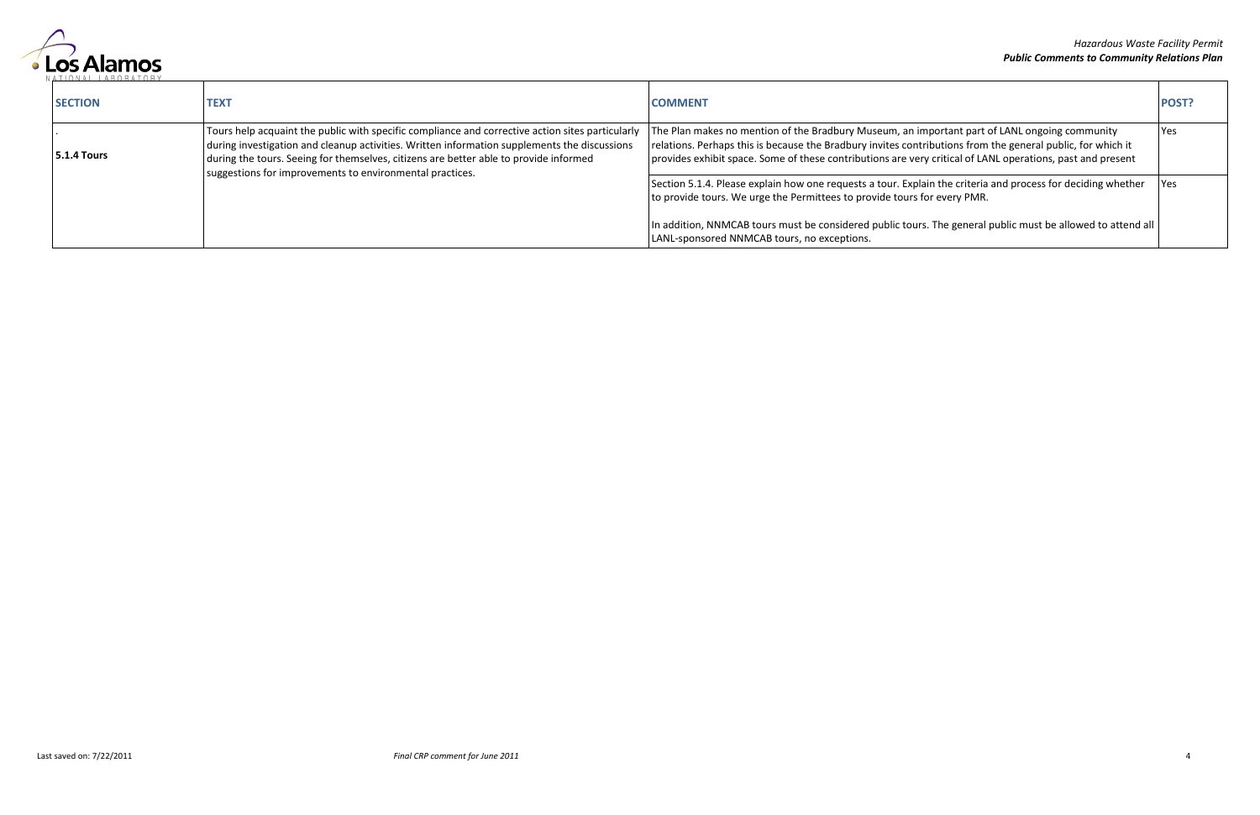

| <b>SECTION</b>     | <b>TEX</b>                                                                                                                                                                                                                                                                                                                                            | <b>COMMENT</b>                                                                                                                                                                                                                                                                                                             | POST?      |
|--------------------|-------------------------------------------------------------------------------------------------------------------------------------------------------------------------------------------------------------------------------------------------------------------------------------------------------------------------------------------------------|----------------------------------------------------------------------------------------------------------------------------------------------------------------------------------------------------------------------------------------------------------------------------------------------------------------------------|------------|
| <b>5.1.4 Tours</b> | Tours help acquaint the public with specific compliance and corrective action sites particularly<br>during investigation and cleanup activities. Written information supplements the discussions<br>during the tours. Seeing for themselves, citizens are better able to provide informed<br>suggestions for improvements to environmental practices. | The Plan makes no mention of the Bradbury Museum, an important part of LANL ongoing community<br>relations. Perhaps this is because the Bradbury invites contributions from the general public, for which it<br>provides exhibit space. Some of these contributions are very critical of LANL operations, past and present | <b>Yes</b> |
|                    |                                                                                                                                                                                                                                                                                                                                                       | Section 5.1.4. Please explain how one requests a tour. Explain the criteria and process for deciding whether<br>to provide tours. We urge the Permittees to provide tours for every PMR.                                                                                                                                   | <b>Yes</b> |
|                    |                                                                                                                                                                                                                                                                                                                                                       | In addition, NNMCAB tours must be considered public tours. The general public must be allowed to attend all<br>LANL-sponsored NNMCAB tours, no exceptions.                                                                                                                                                                 |            |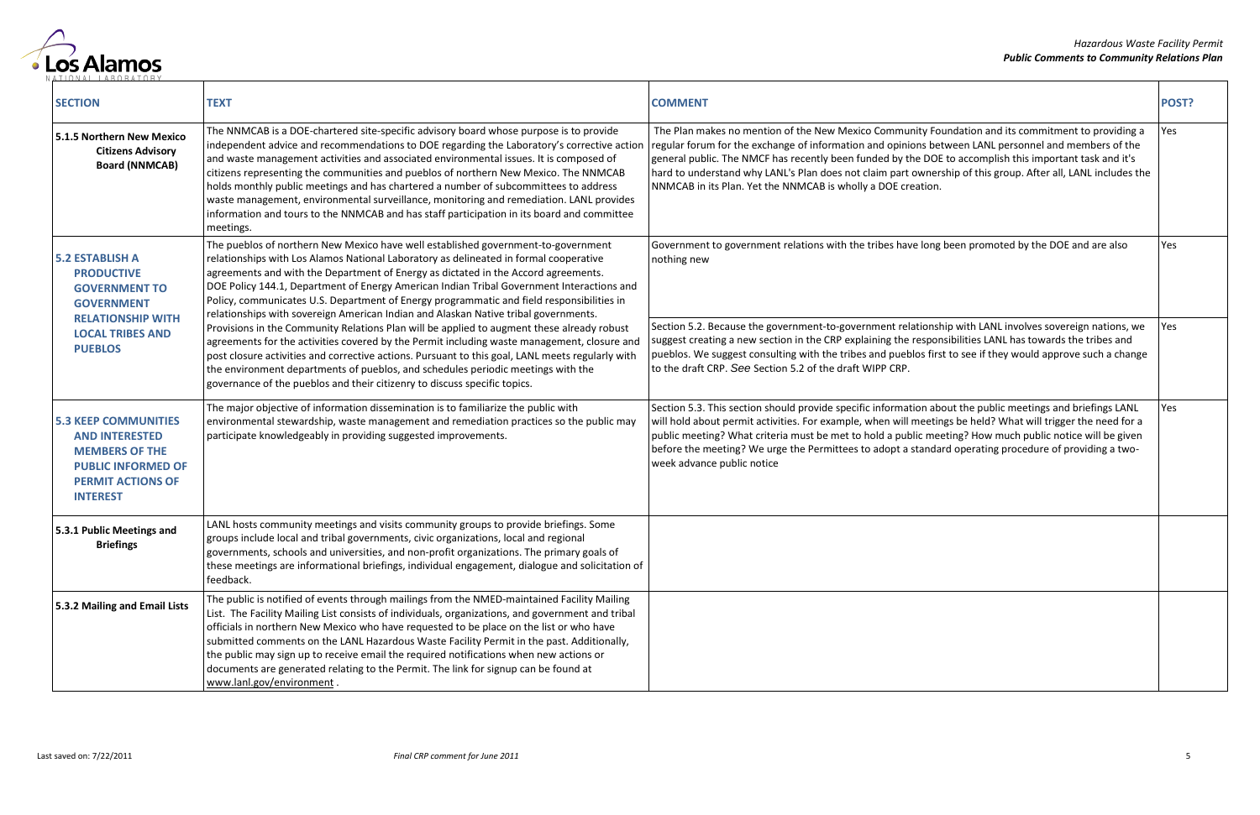

| <b>SECTION</b>                                                                                                                                            | <b>TEXT</b>                                                                                                                                                                                                                                                                                                                                                                                                                                                                                                                                                                                                                                                          | <b>COMMENT</b>                                                                                                                                                                                                                                                                                                                                                                                                                                                                                        | POST? |
|-----------------------------------------------------------------------------------------------------------------------------------------------------------|----------------------------------------------------------------------------------------------------------------------------------------------------------------------------------------------------------------------------------------------------------------------------------------------------------------------------------------------------------------------------------------------------------------------------------------------------------------------------------------------------------------------------------------------------------------------------------------------------------------------------------------------------------------------|-------------------------------------------------------------------------------------------------------------------------------------------------------------------------------------------------------------------------------------------------------------------------------------------------------------------------------------------------------------------------------------------------------------------------------------------------------------------------------------------------------|-------|
| 5.1.5 Northern New Mexico<br><b>Citizens Advisory</b><br><b>Board (NNMCAB)</b>                                                                            | The NNMCAB is a DOE-chartered site-specific advisory board whose purpose is to provide<br>independent advice and recommendations to DOE regarding the Laboratory's corrective action<br>and waste management activities and associated environmental issues. It is composed of<br>citizens representing the communities and pueblos of northern New Mexico. The NNMCAB<br>holds monthly public meetings and has chartered a number of subcommittees to address<br>waste management, environmental surveillance, monitoring and remediation. LANL provides<br>information and tours to the NNMCAB and has staff participation in its board and committee<br>meetings. | The Plan makes no mention of the New Mexico Community Foundation and its commitment to providing a<br>regular forum for the exchange of information and opinions between LANL personnel and members of the<br>general public. The NMCF has recently been funded by the DOE to accomplish this important task and it's<br>hard to understand why LANL's Plan does not claim part ownership of this group. After all, LANL includes the<br>NNMCAB in its Plan. Yet the NNMCAB is wholly a DOE creation. | Yes   |
| <b>5.2 ESTABLISH A</b><br><b>PRODUCTIVE</b><br><b>GOVERNMENT TO</b><br><b>GOVERNMENT</b>                                                                  | The pueblos of northern New Mexico have well established government-to-government<br>relationships with Los Alamos National Laboratory as delineated in formal cooperative<br>agreements and with the Department of Energy as dictated in the Accord agreements.<br>DOE Policy 144.1, Department of Energy American Indian Tribal Government Interactions and<br>Policy, communicates U.S. Department of Energy programmatic and field responsibilities in<br>relationships with sovereign American Indian and Alaskan Native tribal governments.                                                                                                                    | Government to government relations with the tribes have long been promoted by the DOE and are also<br>nothing new                                                                                                                                                                                                                                                                                                                                                                                     | Yes   |
| <b>RELATIONSHIP WITH</b><br><b>LOCAL TRIBES AND</b><br><b>PUEBLOS</b>                                                                                     | Provisions in the Community Relations Plan will be applied to augment these already robust<br>agreements for the activities covered by the Permit including waste management, closure and<br>post closure activities and corrective actions. Pursuant to this goal, LANL meets regularly with<br>the environment departments of pueblos, and schedules periodic meetings with the<br>governance of the pueblos and their citizenry to discuss specific topics.                                                                                                                                                                                                       | Section 5.2. Because the government-to-government relationship with LANL involves sovereign nations, we<br>suggest creating a new section in the CRP explaining the responsibilities LANL has towards the tribes and<br>pueblos. We suggest consulting with the tribes and pueblos first to see if they would approve such a change<br>to the draft CRP. See Section 5.2 of the draft WIPP CRP.                                                                                                       | Yes   |
| <b>5.3 KEEP COMMUNITIES</b><br><b>AND INTERESTED</b><br><b>MEMBERS OF THE</b><br><b>PUBLIC INFORMED OF</b><br><b>PERMIT ACTIONS OF</b><br><b>INTEREST</b> | The major objective of information dissemination is to familiarize the public with<br>environmental stewardship, waste management and remediation practices so the public may<br>participate knowledgeably in providing suggested improvements.                                                                                                                                                                                                                                                                                                                                                                                                                      | Section 5.3. This section should provide specific information about the public meetings and briefings LANL<br>will hold about permit activities. For example, when will meetings be held? What will trigger the need for a<br>public meeting? What criteria must be met to hold a public meeting? How much public notice will be given<br>before the meeting? We urge the Permittees to adopt a standard operating procedure of providing a two-<br>week advance public notice                        | Yes   |
| 5.3.1 Public Meetings and<br><b>Briefings</b>                                                                                                             | LANL hosts community meetings and visits community groups to provide briefings. Some<br>groups include local and tribal governments, civic organizations, local and regional<br>governments, schools and universities, and non-profit organizations. The primary goals of<br>these meetings are informational briefings, individual engagement, dialogue and solicitation of<br>feedback.                                                                                                                                                                                                                                                                            |                                                                                                                                                                                                                                                                                                                                                                                                                                                                                                       |       |
| 5.3.2 Mailing and Email Lists                                                                                                                             | The public is notified of events through mailings from the NMED-maintained Facility Mailing<br>List. The Facility Mailing List consists of individuals, organizations, and government and tribal<br>officials in northern New Mexico who have requested to be place on the list or who have<br>submitted comments on the LANL Hazardous Waste Facility Permit in the past. Additionally,<br>the public may sign up to receive email the required notifications when new actions or<br>documents are generated relating to the Permit. The link for signup can be found at<br>www.lanl.gov/environment.                                                               |                                                                                                                                                                                                                                                                                                                                                                                                                                                                                                       |       |

|                                                                                                                                                                                                                  | POST? |
|------------------------------------------------------------------------------------------------------------------------------------------------------------------------------------------------------------------|-------|
| y Foundation and its commitment to providing a<br>s between LANL personnel and members of the<br>DOE to accomplish this important task and it's<br>vnership of this group. After all, LANL includes the<br>tion. | Yes   |
| long been promoted by the DOE and are also                                                                                                                                                                       | Yes   |
| onship with LANL involves sovereign nations, we<br>sponsibilities LANL has towards the tribes and<br>s first to see if they would approve such a change                                                          | Yes   |
| n about the public meetings and briefings LANL<br>eetings be held? What will trigger the need for a<br>meeting? How much public notice will be given<br>andard operating procedure of providing a two-           | Yes   |
|                                                                                                                                                                                                                  |       |
|                                                                                                                                                                                                                  |       |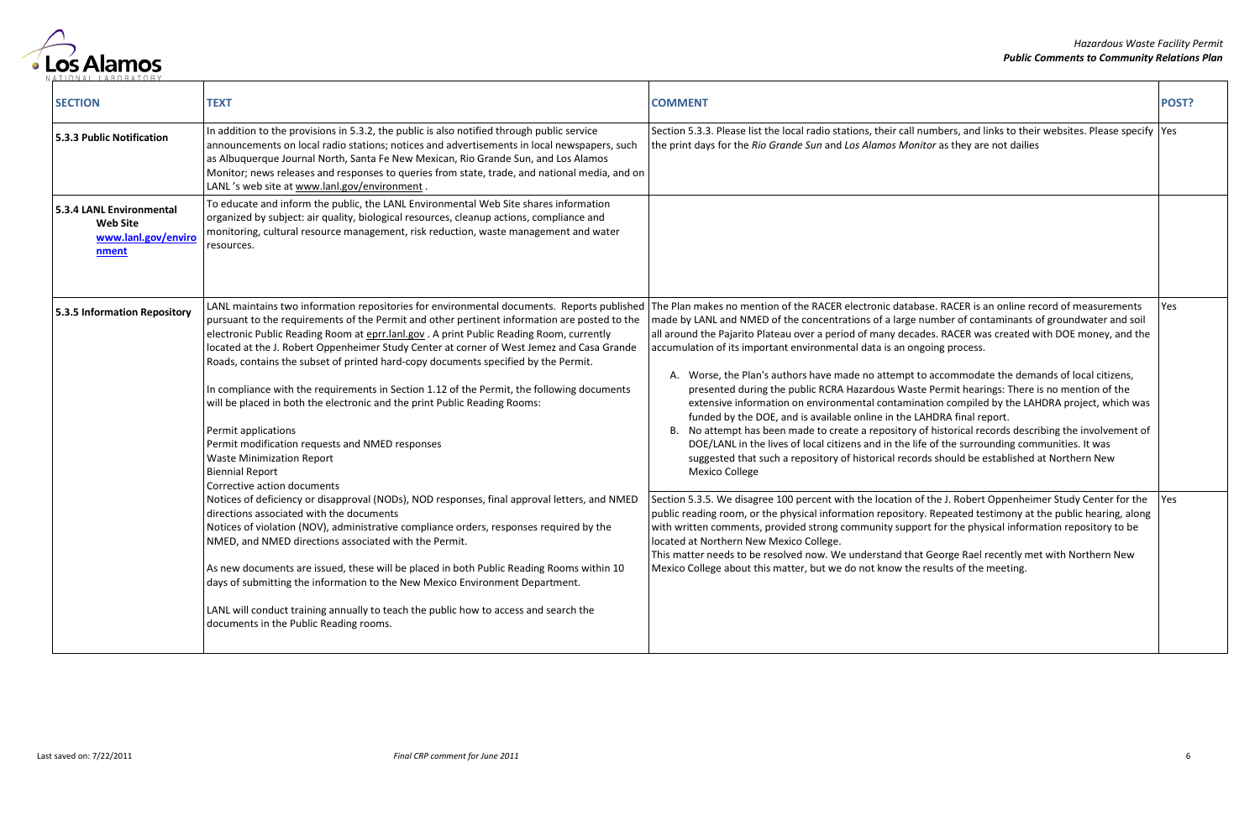

| <b>SECTION</b>                                                              | <b>TEXT</b>                                                                                                                                                                                                                                                                                                                                                                                                                                                                                                                                                                                                                                                                                                                                                                                                                 | <b>COMMENT</b>                                                                                                                                                                                                                                                                                                                                                                                                                                                                                                                                                                                                                                                                                                                                                                                                                                                                                                                                                                                                                                                                                                            | POST? |
|-----------------------------------------------------------------------------|-----------------------------------------------------------------------------------------------------------------------------------------------------------------------------------------------------------------------------------------------------------------------------------------------------------------------------------------------------------------------------------------------------------------------------------------------------------------------------------------------------------------------------------------------------------------------------------------------------------------------------------------------------------------------------------------------------------------------------------------------------------------------------------------------------------------------------|---------------------------------------------------------------------------------------------------------------------------------------------------------------------------------------------------------------------------------------------------------------------------------------------------------------------------------------------------------------------------------------------------------------------------------------------------------------------------------------------------------------------------------------------------------------------------------------------------------------------------------------------------------------------------------------------------------------------------------------------------------------------------------------------------------------------------------------------------------------------------------------------------------------------------------------------------------------------------------------------------------------------------------------------------------------------------------------------------------------------------|-------|
| 5.3.3 Public Notification                                                   | In addition to the provisions in 5.3.2, the public is also notified through public service<br>announcements on local radio stations; notices and advertisements in local newspapers, such<br>as Albuquerque Journal North, Santa Fe New Mexican, Rio Grande Sun, and Los Alamos<br>Monitor; news releases and responses to queries from state, trade, and national media, and on<br>LANL's web site at www.lanl.gov/environment.                                                                                                                                                                                                                                                                                                                                                                                            | Section 5.3.3. Please list the local radio stations, their call numbers, and links to their websites. Please specify  Yes<br>the print days for the Rio Grande Sun and Los Alamos Monitor as they are not dailies                                                                                                                                                                                                                                                                                                                                                                                                                                                                                                                                                                                                                                                                                                                                                                                                                                                                                                         |       |
| 5.3.4 LANL Environmental<br><b>Web Site</b><br>www.lanl.gov/enviro<br>nment | To educate and inform the public, the LANL Environmental Web Site shares information<br>organized by subject: air quality, biological resources, cleanup actions, compliance and<br>monitoring, cultural resource management, risk reduction, waste management and water<br>resources.                                                                                                                                                                                                                                                                                                                                                                                                                                                                                                                                      |                                                                                                                                                                                                                                                                                                                                                                                                                                                                                                                                                                                                                                                                                                                                                                                                                                                                                                                                                                                                                                                                                                                           |       |
| 5.3.5 Information Repository                                                | LANL maintains two information repositories for environmental documents. Reports published<br>pursuant to the requirements of the Permit and other pertinent information are posted to the<br>electronic Public Reading Room at eprr.lanl.gov . A print Public Reading Room, currently<br>located at the J. Robert Oppenheimer Study Center at corner of West Jemez and Casa Grande<br>Roads, contains the subset of printed hard-copy documents specified by the Permit.<br>In compliance with the requirements in Section 1.12 of the Permit, the following documents<br>will be placed in both the electronic and the print Public Reading Rooms:<br>Permit applications<br>Permit modification requests and NMED responses<br><b>Waste Minimization Report</b><br><b>Biennial Report</b><br>Corrective action documents | The Plan makes no mention of the RACER electronic database. RACER is an online record of measurements<br>made by LANL and NMED of the concentrations of a large number of contaminants of groundwater and soil<br>all around the Pajarito Plateau over a period of many decades. RACER was created with DOE money, and the<br>accumulation of its important environmental data is an ongoing process.<br>A. Worse, the Plan's authors have made no attempt to accommodate the demands of local citizens,<br>presented during the public RCRA Hazardous Waste Permit hearings: There is no mention of the<br>extensive information on environmental contamination compiled by the LAHDRA project, which was<br>funded by the DOE, and is available online in the LAHDRA final report.<br>B. No attempt has been made to create a repository of historical records describing the involvement of<br>DOE/LANL in the lives of local citizens and in the life of the surrounding communities. It was<br>suggested that such a repository of historical records should be established at Northern New<br><b>Mexico College</b> | Yes   |
|                                                                             | Notices of deficiency or disapproval (NODs), NOD responses, final approval letters, and NMED<br>directions associated with the documents<br>Notices of violation (NOV), administrative compliance orders, responses required by the<br>NMED, and NMED directions associated with the Permit.<br>As new documents are issued, these will be placed in both Public Reading Rooms within 10<br>days of submitting the information to the New Mexico Environment Department.<br>LANL will conduct training annually to teach the public how to access and search the<br>documents in the Public Reading rooms.                                                                                                                                                                                                                  | Section 5.3.5. We disagree 100 percent with the location of the J. Robert Oppenheimer Study Center for the<br>public reading room, or the physical information repository. Repeated testimony at the public hearing, along<br>with written comments, provided strong community support for the physical information repository to be<br>located at Northern New Mexico College.<br>This matter needs to be resolved now. We understand that George Rael recently met with Northern New<br>Mexico College about this matter, but we do not know the results of the meeting.                                                                                                                                                                                                                                                                                                                                                                                                                                                                                                                                                | Yes   |

|                                                                                                                                                                                                                                                                                                                                                                                                                                                                                                | POST? |
|------------------------------------------------------------------------------------------------------------------------------------------------------------------------------------------------------------------------------------------------------------------------------------------------------------------------------------------------------------------------------------------------------------------------------------------------------------------------------------------------|-------|
| umbers, and links to their websites. Please specify<br>tor as they are not dailies                                                                                                                                                                                                                                                                                                                                                                                                             | Yes   |
|                                                                                                                                                                                                                                                                                                                                                                                                                                                                                                |       |
| ase. RACER is an online record of measurements<br>number of contaminants of groundwater and soil<br>des. RACER was created with DOE money, and the<br>going process.<br>o accommodate the demands of local citizens,<br>e Permit hearings: There is no mention of the<br>ation compiled by the LAHDRA project, which was<br>AHDRA final report.<br>of historical records describing the involvement of<br>e of the surrounding communities. It was<br>ds should be established at Northern New | Yes   |
| f the J. Robert Oppenheimer Study Center for the<br>. Repeated testimony at the public hearing, along<br>ort for the physical information repository to be<br>George Rael recently met with Northern New<br>results of the meeting.                                                                                                                                                                                                                                                            | Yes   |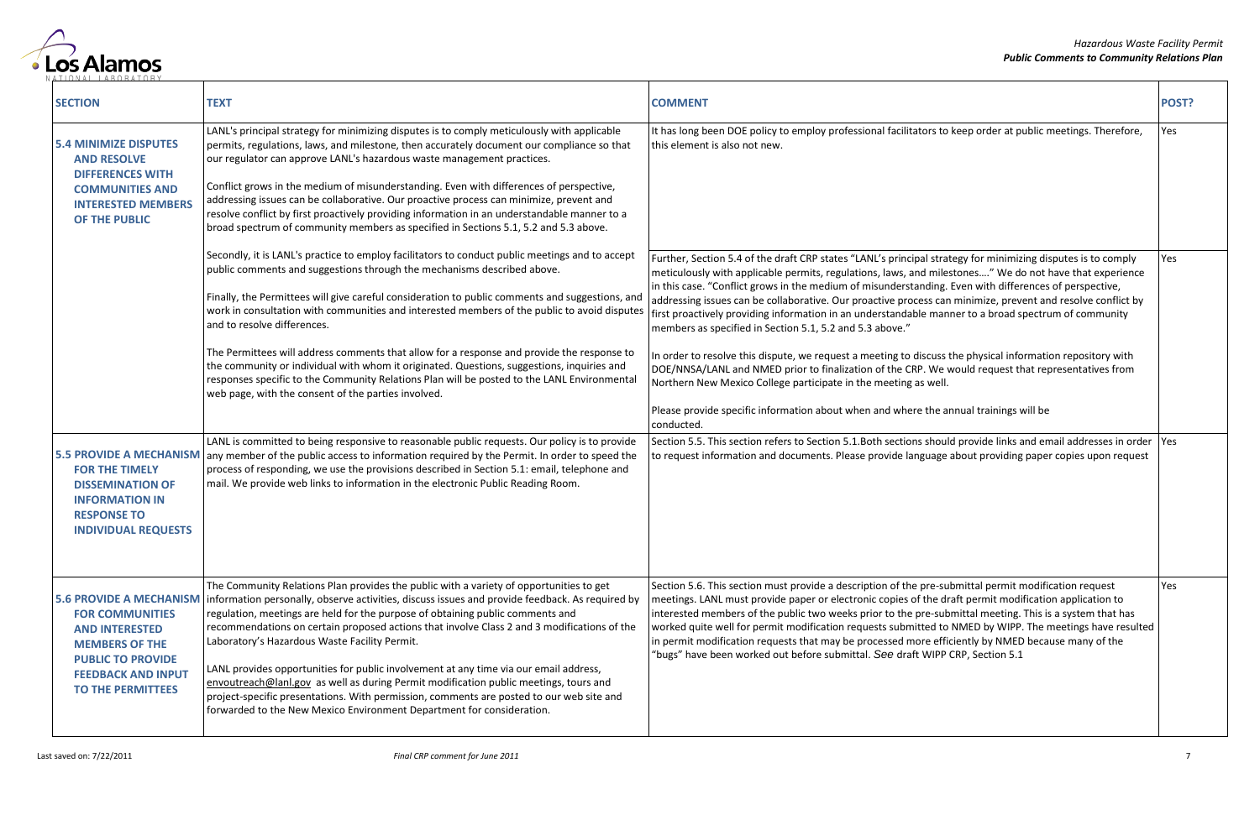

| <b>SECTION</b>                                                                                                                                                                                  | <b>TEXT</b>                                                                                                                                                                                                                                                                                                                                                                                                                                                                                                                                                                                                                                                                                                                                                                         | <b>COMMENT</b>                                                                                                                                                                                                                                                                                                                                                                                                                                                                                                                                                                                                                                                                                                                                                                                                                                                                                                                                                                                                      | POST? |
|-------------------------------------------------------------------------------------------------------------------------------------------------------------------------------------------------|-------------------------------------------------------------------------------------------------------------------------------------------------------------------------------------------------------------------------------------------------------------------------------------------------------------------------------------------------------------------------------------------------------------------------------------------------------------------------------------------------------------------------------------------------------------------------------------------------------------------------------------------------------------------------------------------------------------------------------------------------------------------------------------|---------------------------------------------------------------------------------------------------------------------------------------------------------------------------------------------------------------------------------------------------------------------------------------------------------------------------------------------------------------------------------------------------------------------------------------------------------------------------------------------------------------------------------------------------------------------------------------------------------------------------------------------------------------------------------------------------------------------------------------------------------------------------------------------------------------------------------------------------------------------------------------------------------------------------------------------------------------------------------------------------------------------|-------|
| <b>5.4 MINIMIZE DISPUTES</b><br><b>AND RESOLVE</b><br><b>DIFFERENCES WITH</b><br><b>COMMUNITIES AND</b><br><b>INTERESTED MEMBERS</b><br>OF THE PUBLIC                                           | LANL's principal strategy for minimizing disputes is to comply meticulously with applicable<br>permits, regulations, laws, and milestone, then accurately document our compliance so that<br>our regulator can approve LANL's hazardous waste management practices.<br>Conflict grows in the medium of misunderstanding. Even with differences of perspective,<br>addressing issues can be collaborative. Our proactive process can minimize, prevent and<br>resolve conflict by first proactively providing information in an understandable manner to a<br>broad spectrum of community members as specified in Sections 5.1, 5.2 and 5.3 above.                                                                                                                                   | It has long been DOE policy to employ professional facilitators to keep order at public meetings. Therefore,<br>this element is also not new.                                                                                                                                                                                                                                                                                                                                                                                                                                                                                                                                                                                                                                                                                                                                                                                                                                                                       | Yes   |
|                                                                                                                                                                                                 | Secondly, it is LANL's practice to employ facilitators to conduct public meetings and to accept<br>public comments and suggestions through the mechanisms described above.<br>Finally, the Permittees will give careful consideration to public comments and suggestions, and<br>work in consultation with communities and interested members of the public to avoid disputes<br>and to resolve differences.<br>The Permittees will address comments that allow for a response and provide the response to<br>the community or individual with whom it originated. Questions, suggestions, inquiries and<br>responses specific to the Community Relations Plan will be posted to the LANL Environmental<br>web page, with the consent of the parties involved.                      | Further, Section 5.4 of the draft CRP states "LANL's principal strategy for minimizing disputes is to comply<br>meticulously with applicable permits, regulations, laws, and milestones" We do not have that experience<br>in this case. "Conflict grows in the medium of misunderstanding. Even with differences of perspective,<br>addressing issues can be collaborative. Our proactive process can minimize, prevent and resolve conflict by<br>first proactively providing information in an understandable manner to a broad spectrum of community<br>members as specified in Section 5.1, 5.2 and 5.3 above."<br>In order to resolve this dispute, we request a meeting to discuss the physical information repository with<br>DOE/NNSA/LANL and NMED prior to finalization of the CRP. We would request that representatives from<br>Northern New Mexico College participate in the meeting as well.<br>Please provide specific information about when and where the annual trainings will be<br>conducted. | Yes   |
| <b>5.5 PROVIDE A MECHANISM</b><br><b>FOR THE TIMELY</b><br><b>DISSEMINATION OF</b><br><b>INFORMATION IN</b><br><b>RESPONSE TO</b><br><b>INDIVIDUAL REQUESTS</b>                                 | LANL is committed to being responsive to reasonable public requests. Our policy is to provide<br>any member of the public access to information required by the Permit. In order to speed the<br>process of responding, we use the provisions described in Section 5.1: email, telephone and<br>mail. We provide web links to information in the electronic Public Reading Room.                                                                                                                                                                                                                                                                                                                                                                                                    | Section 5.5. This section refers to Section 5.1. Both sections should provide links and email addresses in order  Yes<br>to request information and documents. Please provide language about providing paper copies upon request                                                                                                                                                                                                                                                                                                                                                                                                                                                                                                                                                                                                                                                                                                                                                                                    |       |
| <b>5.6 PROVIDE A MECHANISM</b><br><b>FOR COMMUNITIES</b><br><b>AND INTERESTED</b><br><b>MEMBERS OF THE</b><br><b>PUBLIC TO PROVIDE</b><br><b>FEEDBACK AND INPUT</b><br><b>TO THE PERMITTEES</b> | The Community Relations Plan provides the public with a variety of opportunities to get<br>information personally, observe activities, discuss issues and provide feedback. As required by<br>regulation, meetings are held for the purpose of obtaining public comments and<br>recommendations on certain proposed actions that involve Class 2 and 3 modifications of the<br>Laboratory's Hazardous Waste Facility Permit.<br>LANL provides opportunities for public involvement at any time via our email address,<br>envoutreach@lanl.gov as well as during Permit modification public meetings, tours and<br>project-specific presentations. With permission, comments are posted to our web site and<br>forwarded to the New Mexico Environment Department for consideration. | Section 5.6. This section must provide a description of the pre-submittal permit modification request<br>meetings. LANL must provide paper or electronic copies of the draft permit modification application to<br>interested members of the public two weeks prior to the pre-submittal meeting. This is a system that has<br>worked quite well for permit modification requests submitted to NMED by WIPP. The meetings have resulted<br>in permit modification requests that may be processed more efficiently by NMED because many of the<br>"bugs" have been worked out before submittal. See draft WIPP CRP, Section 5.1                                                                                                                                                                                                                                                                                                                                                                                      | Yes   |

|                                                                                                                                                                                                                                                                                              | POST? |
|----------------------------------------------------------------------------------------------------------------------------------------------------------------------------------------------------------------------------------------------------------------------------------------------|-------|
| ors to keep order at public meetings. Therefore,                                                                                                                                                                                                                                             | Yes   |
| I strategy for minimizing disputes is to comply<br>milestones" We do not have that experience<br>ding. Even with differences of perspective,<br>ss can minimize, prevent and resolve conflict by<br>manner to a broad spectrum of community<br>cuss the physical information repository with | Yes   |
| We would request that representatives from<br>well.<br>the annual trainings will be                                                                                                                                                                                                          |       |
| should provide links and email addresses in order<br>uage about providing paper copies upon request                                                                                                                                                                                          | Yes   |
| re-submittal permit modification request<br>he draft permit modification application to<br>e-submittal meeting. This is a system that has<br>ed to NMED by WIPP. The meetings have resulted<br>e efficiently by NMED because many of the<br>VIPP CRP, Section 5.1                            | Yes   |